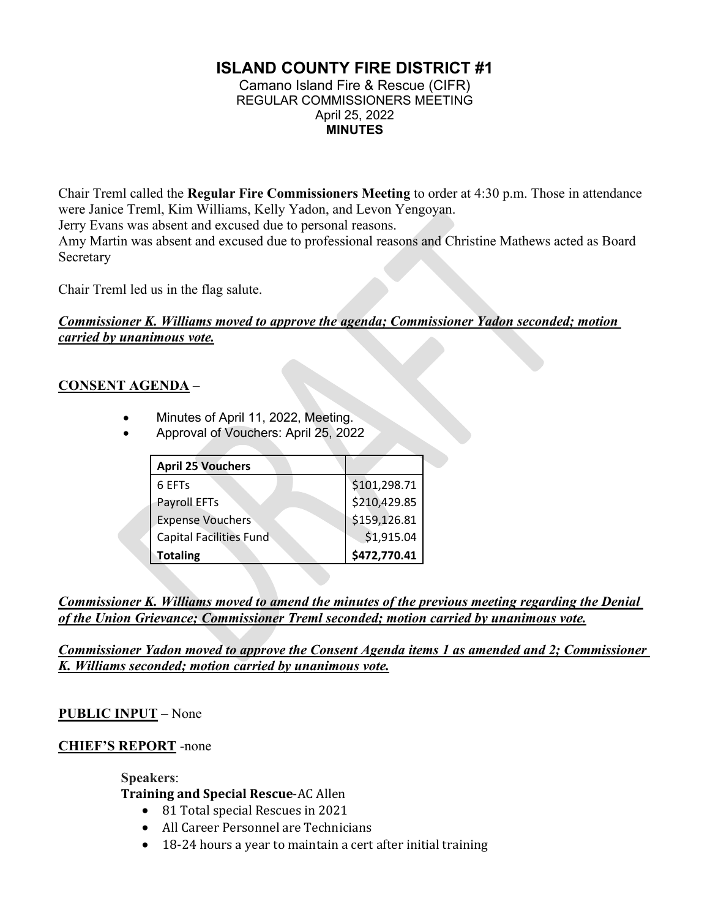# **ISLAND COUNTY FIRE DISTRICT #1**

Camano Island Fire & Rescue (CIFR) REGULAR COMMISSIONERS MEETING April 25, 2022 **MINUTES**

Chair Treml called the **Regular Fire Commissioners Meeting** to order at 4:30 p.m. Those in attendance were Janice Treml, Kim Williams, Kelly Yadon, and Levon Yengoyan. Jerry Evans was absent and excused due to personal reasons. Amy Martin was absent and excused due to professional reasons and Christine Mathews acted as Board Secretary

Chair Treml led us in the flag salute.

## *Commissioner K. Williams moved to approve the agenda; Commissioner Yadon seconded; motion carried by unanimous vote.*

## **CONSENT AGENDA** –

- Minutes of April 11, 2022, Meeting.
- Approval of Vouchers: April 25, 2022

| <b>April 25 Vouchers</b>       |              |
|--------------------------------|--------------|
| 6 EFT <sub>s</sub>             | \$101,298.71 |
| Payroll EFTs                   | \$210,429.85 |
| <b>Expense Vouchers</b>        | \$159,126.81 |
| <b>Capital Facilities Fund</b> | \$1,915.04   |
| <b>Totaling</b>                | \$472,770.41 |

*Commissioner K. Williams moved to amend the minutes of the previous meeting regarding the Denial of the Union Grievance; Commissioner Treml seconded; motion carried by unanimous vote.*

*Commissioner Yadon moved to approve the Consent Agenda items 1 as amended and 2; Commissioner K. Williams seconded; motion carried by unanimous vote.*

# **PUBLIC INPUT** – None

### **CHIEF'S REPORT** -none

**Speakers**: **Training and Special Rescue**-AC Allen

- 81 Total special Rescues in 2021
- All Career Personnel are Technicians
- 18-24 hours a year to maintain a cert after initial training